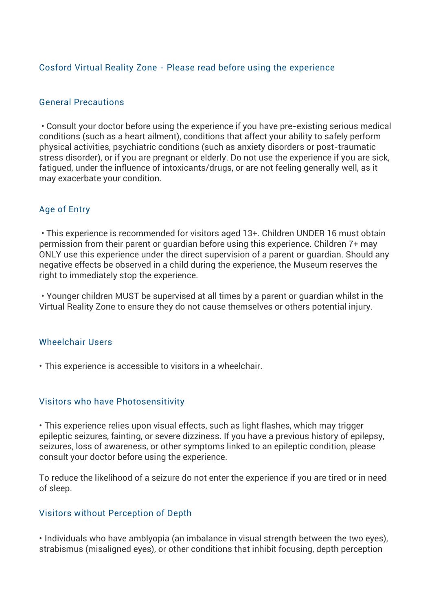## Cosford Virtual Reality Zone - Please read before using the experience

### General Precautions

• Consult your doctor before using the experience if you have pre-existing serious medical conditions (such as a heart ailment), conditions that affect your ability to safely perform physical activities, psychiatric conditions (such as anxiety disorders or post-traumatic stress disorder), or if you are pregnant or elderly. Do not use the experience if you are sick, fatigued, under the influence of intoxicants/drugs, or are not feeling generally well, as it may exacerbate your condition.

### Age of Entry

• This experience is recommended for visitors aged 13+. Children UNDER 16 must obtain permission from their parent or guardian before using this experience. Children 7+ may ONLY use this experience under the direct supervision of a parent or guardian. Should any negative effects be observed in a child during the experience, the Museum reserves the right to immediately stop the experience.

• Younger children MUST be supervised at all times by a parent or guardian whilst in the Virtual Reality Zone to ensure they do not cause themselves or others potential injury.

#### Wheelchair Users

• This experience is accessible to visitors in a wheelchair.

#### Visitors who have Photosensitivity

• This experience relies upon visual effects, such as light flashes, which may trigger epileptic seizures, fainting, or severe dizziness. If you have a previous history of epilepsy, seizures, loss of awareness, or other symptoms linked to an epileptic condition, please consult your doctor before using the experience.

To reduce the likelihood of a seizure do not enter the experience if you are tired or in need of sleep.

#### Visitors without Perception of Depth

• Individuals who have amblyopia (an imbalance in visual strength between the two eyes), strabismus (misaligned eyes), or other conditions that inhibit focusing, depth perception